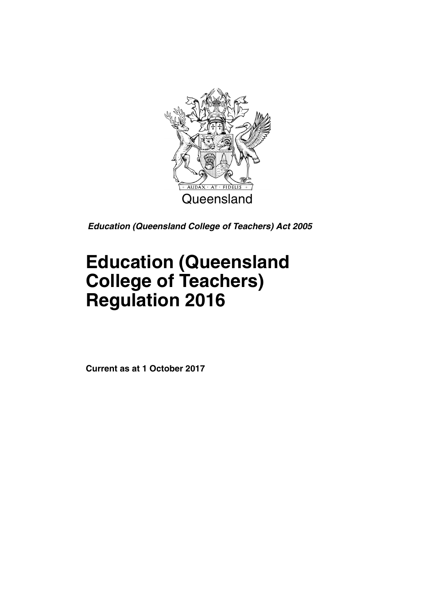

*Education (Queensland College of Teachers) Act 2005*

# **Education (Queensland College of Teachers) Regulation 2016**

**Current as at 1 October 2017**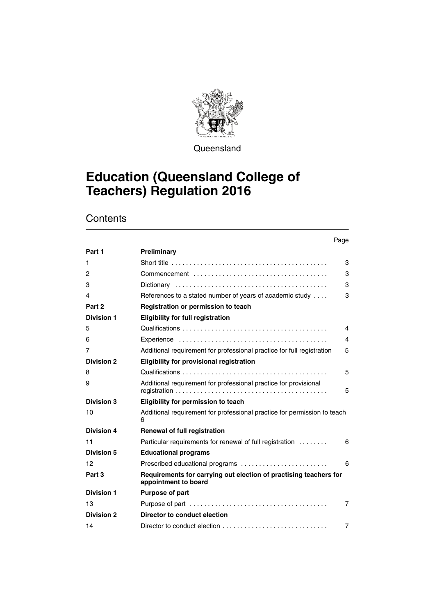

**Queensland** 

# **Education (Queensland College of Teachers) Regulation 2016**

# **Contents**

|                   |                                                                                           | Page |
|-------------------|-------------------------------------------------------------------------------------------|------|
| Part 1            | Preliminary                                                                               |      |
| 1                 |                                                                                           | 3    |
| 2                 |                                                                                           | 3    |
| 3                 |                                                                                           | 3    |
| 4                 | References to a stated number of years of academic study                                  | 3    |
| Part 2            | Registration or permission to teach                                                       |      |
| <b>Division 1</b> | <b>Eligibility for full registration</b>                                                  |      |
| 5                 |                                                                                           | 4    |
| 6                 |                                                                                           | 4    |
| 7                 | Additional requirement for professional practice for full registration                    | 5    |
| <b>Division 2</b> | <b>Eligibility for provisional registration</b>                                           |      |
| 8                 |                                                                                           | 5    |
| 9                 | Additional requirement for professional practice for provisional                          | 5    |
| Division 3        | Eligibility for permission to teach                                                       |      |
| 10                | Additional requirement for professional practice for permission to teach<br>6             |      |
| <b>Division 4</b> | <b>Renewal of full registration</b>                                                       |      |
| 11                | Particular requirements for renewal of full registration                                  | 6    |
| <b>Division 5</b> | <b>Educational programs</b>                                                               |      |
| 12                | Prescribed educational programs                                                           | 6    |
| Part 3            | Requirements for carrying out election of practising teachers for<br>appointment to board |      |
| <b>Division 1</b> | <b>Purpose of part</b>                                                                    |      |
| 13                |                                                                                           | 7    |
| <b>Division 2</b> | Director to conduct election                                                              |      |
| 14                |                                                                                           | 7    |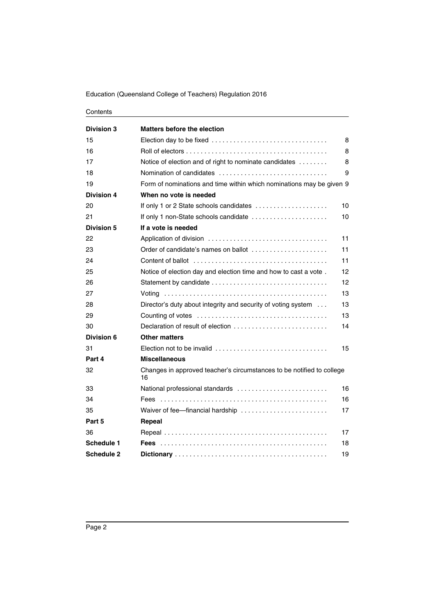#### Education (Queensland College of Teachers) Regulation 2016

#### Contents

| <b>Division 3</b> | <b>Matters before the election</b>                                                                  |    |
|-------------------|-----------------------------------------------------------------------------------------------------|----|
| 15                |                                                                                                     | 8  |
| 16                |                                                                                                     | 8  |
| 17                | Notice of election and of right to nominate candidates                                              | 8  |
| 18                |                                                                                                     | 9  |
| 19                | Form of nominations and time within which nominations may be given 9                                |    |
| <b>Division 4</b> | When no vote is needed                                                                              |    |
| 20                | If only 1 or 2 State schools candidates                                                             | 10 |
| 21                | If only 1 non-State schools candidate                                                               | 10 |
| <b>Division 5</b> | If a vote is needed                                                                                 |    |
| 22                |                                                                                                     | 11 |
| 23                | Order of candidate's names on ballot                                                                | 11 |
| 24                |                                                                                                     | 11 |
| 25                | Notice of election day and election time and how to cast a vote.                                    | 12 |
| 26                |                                                                                                     | 12 |
| 27                |                                                                                                     | 13 |
| 28                | Director's duty about integrity and security of voting system                                       | 13 |
| 29                |                                                                                                     | 13 |
| 30                | Declaration of result of election                                                                   | 14 |
| Division 6        | <b>Other matters</b>                                                                                |    |
| 31                | Election not to be invalid $\ldots, \ldots, \ldots, \ldots, \ldots, \ldots, \ldots, \ldots, \ldots$ | 15 |
| Part 4            | <b>Miscellaneous</b>                                                                                |    |
| 32                | Changes in approved teacher's circumstances to be notified to college<br>16                         |    |
| 33                | National professional standards                                                                     | 16 |
| 34                |                                                                                                     | 16 |
| 35                |                                                                                                     | 17 |
| Part 5            | Repeal                                                                                              |    |
| 36                |                                                                                                     | 17 |
| <b>Schedule 1</b> |                                                                                                     | 18 |
| <b>Schedule 2</b> |                                                                                                     | 19 |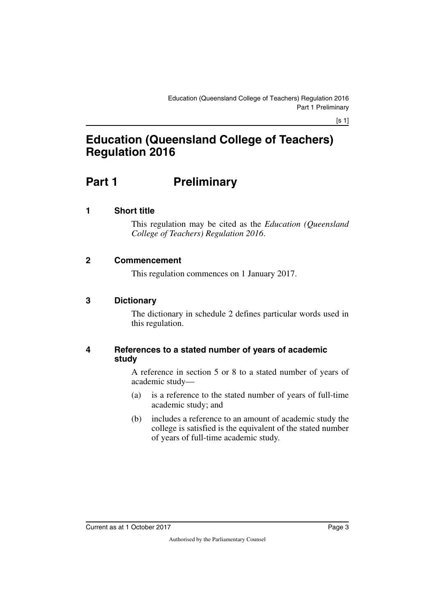# **Education (Queensland College of Teachers) Regulation 2016**

# <span id="page-4-0"></span>**Part 1** Preliminary

### <span id="page-4-2"></span>**1 Short title**

<span id="page-4-3"></span><span id="page-4-1"></span>This regulation may be cited as the *Education (Queensland College of Teachers) Regulation 2016*.

#### <span id="page-4-4"></span>**2 Commencement**

<span id="page-4-7"></span><span id="page-4-5"></span>This regulation commences on 1 January 2017.

#### <span id="page-4-6"></span>**3 Dictionary**

The dictionary in schedule 2 defines particular words used in this regulation.

#### <span id="page-4-9"></span><span id="page-4-8"></span>**4 References to a stated number of years of academic study**

A reference in section 5 or 8 to a stated number of years of academic study—

- (a) is a reference to the stated number of years of full-time academic study; and
- (b) includes a reference to an amount of academic study the college is satisfied is the equivalent of the stated number of years of full-time academic study.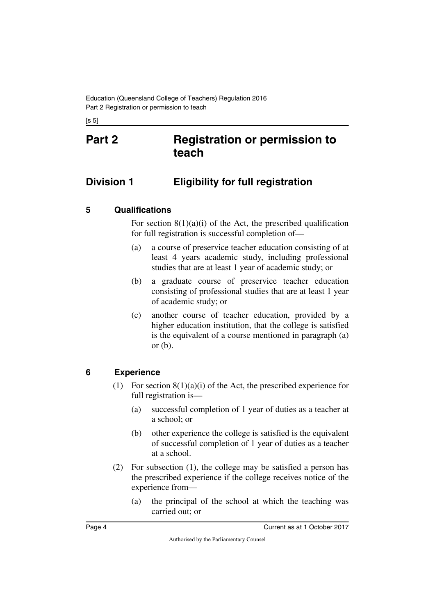<span id="page-5-1"></span><span id="page-5-0"></span>[s 5]

# **Part 2 Registration or permission to teach**

# <span id="page-5-2"></span>**Division 1 Eligibility for full registration**

### <span id="page-5-4"></span>**5 Qualifications**

<span id="page-5-5"></span><span id="page-5-3"></span>For section  $8(1)(a)(i)$  of the Act, the prescribed qualification for full registration is successful completion of—

- (a) a course of preservice teacher education consisting of at least 4 years academic study, including professional studies that are at least 1 year of academic study; or
- (b) a graduate course of preservice teacher education consisting of professional studies that are at least 1 year of academic study; or
- (c) another course of teacher education, provided by a higher education institution, that the college is satisfied is the equivalent of a course mentioned in paragraph (a) or  $(b)$ .

### <span id="page-5-6"></span>**6 Experience**

- <span id="page-5-7"></span>(1) For section  $8(1)(a)(i)$  of the Act, the prescribed experience for full registration is—
	- (a) successful completion of 1 year of duties as a teacher at a school; or
	- (b) other experience the college is satisfied is the equivalent of successful completion of 1 year of duties as a teacher at a school.
- (2) For subsection (1), the college may be satisfied a person has the prescribed experience if the college receives notice of the experience from—
	- (a) the principal of the school at which the teaching was carried out; or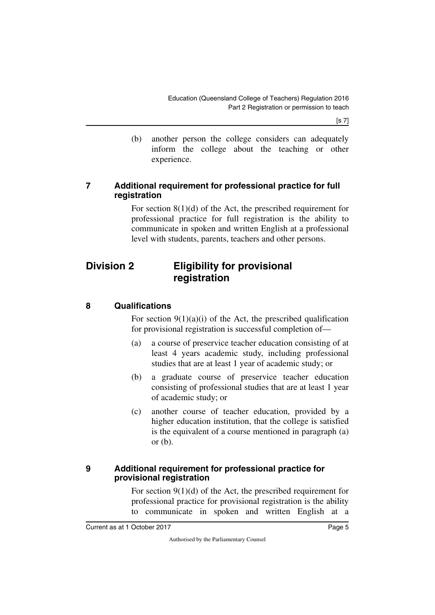[s 7]

(b) another person the college considers can adequately inform the college about the teaching or other experience.

#### <span id="page-6-1"></span><span id="page-6-0"></span>**7 Additional requirement for professional practice for full registration**

<span id="page-6-3"></span>For section 8(1)(d) of the Act, the prescribed requirement for professional practice for full registration is the ability to communicate in spoken and written English at a professional level with students, parents, teachers and other persons.

# <span id="page-6-2"></span>**Division 2 Eligibility for provisional registration**

### <span id="page-6-4"></span>**8 Qualifications**

<span id="page-6-5"></span>For section  $9(1)(a)(i)$  of the Act, the prescribed qualification for provisional registration is successful completion of—

- (a) a course of preservice teacher education consisting of at least 4 years academic study, including professional studies that are at least 1 year of academic study; or
- (b) a graduate course of preservice teacher education consisting of professional studies that are at least 1 year of academic study; or
- (c) another course of teacher education, provided by a higher education institution, that the college is satisfied is the equivalent of a course mentioned in paragraph (a) or  $(b)$ .

#### <span id="page-6-7"></span><span id="page-6-6"></span>**9 Additional requirement for professional practice for provisional registration**

For section 9(1)(d) of the Act, the prescribed requirement for professional practice for provisional registration is the ability to communicate in spoken and written English at a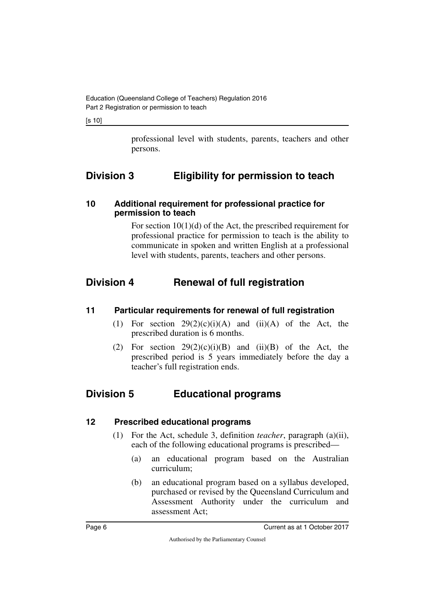[s 10]

<span id="page-7-1"></span>professional level with students, parents, teachers and other persons.

# <span id="page-7-0"></span>**Division 3 Eligibility for permission to teach**

#### <span id="page-7-3"></span><span id="page-7-2"></span>**10 Additional requirement for professional practice for permission to teach**

<span id="page-7-5"></span>For section 10(1)(d) of the Act, the prescribed requirement for professional practice for permission to teach is the ability to communicate in spoken and written English at a professional level with students, parents, teachers and other persons.

# <span id="page-7-4"></span>**Division 4 Renewal of full registration**

#### <span id="page-7-6"></span>**11 Particular requirements for renewal of full registration**

- <span id="page-7-7"></span>(1) For section  $29(2)(c)(i)(A)$  and  $(ii)(A)$  of the Act, the prescribed duration is 6 months.
- <span id="page-7-9"></span>(2) For section  $29(2)(c)(i)(B)$  and  $(ii)(B)$  of the Act, the prescribed period is 5 years immediately before the day a teacher's full registration ends.

# <span id="page-7-8"></span>**Division 5 Educational programs**

#### <span id="page-7-10"></span>**12 Prescribed educational programs**

- <span id="page-7-11"></span>(1) For the Act, schedule 3, definition *teacher*, paragraph (a)(ii), each of the following educational programs is prescribed—
	- (a) an educational program based on the Australian curriculum;
	- (b) an educational program based on a syllabus developed, purchased or revised by the Queensland Curriculum and Assessment Authority under the curriculum and assessment Act;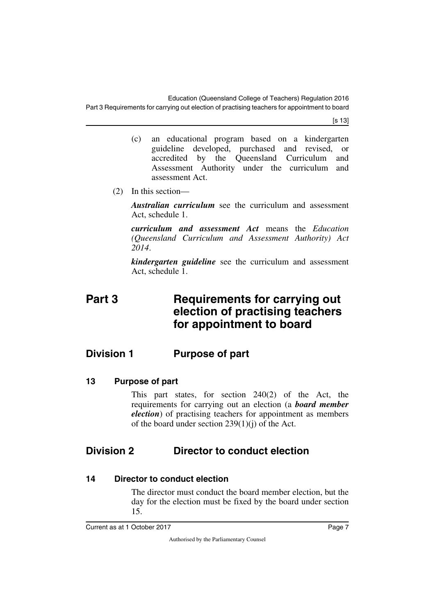[s 13]

- (c) an educational program based on a kindergarten guideline developed, purchased and revised, or accredited by the Queensland Curriculum and Assessment Authority under the curriculum and assessment Act.
- (2) In this section—

*Australian curriculum* see the curriculum and assessment Act, schedule 1.

*curriculum and assessment Act* means the *Education (Queensland Curriculum and Assessment Authority) Act 2014*.

<span id="page-8-1"></span>*kindergarten guideline* see the curriculum and assessment Act, schedule 1.

# <span id="page-8-0"></span>**Part 3 Requirements for carrying out election of practising teachers for appointment to board**

# <span id="page-8-2"></span>**Division 1 Purpose of part**

<span id="page-8-4"></span>**13 Purpose of part**

<span id="page-8-7"></span><span id="page-8-5"></span><span id="page-8-3"></span>This part states, for section 240(2) of the Act, the requirements for carrying out an election (a *board member election*) of practising teachers for appointment as members of the board under section  $239(1)(i)$  of the Act.

# <span id="page-8-6"></span>**Division 2 Director to conduct election**

#### <span id="page-8-8"></span>**14 Director to conduct election**

<span id="page-8-9"></span>The director must conduct the board member election, but the day for the election must be fixed by the board under section 15.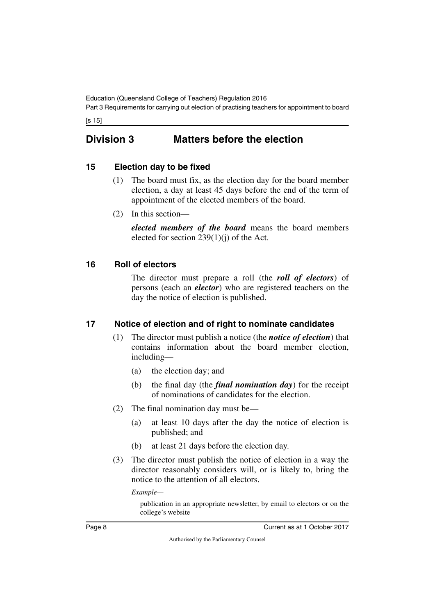[s 15]

# <span id="page-9-0"></span>**Division 3 Matters before the election**

### <span id="page-9-2"></span>**15 Election day to be fixed**

- <span id="page-9-3"></span><span id="page-9-1"></span>(1) The board must fix, as the election day for the board member election, a day at least 45 days before the end of the term of appointment of the elected members of the board.
- (2) In this section—

*elected members of the board* means the board members elected for section 239(1)(j) of the Act.

### <span id="page-9-4"></span>**16 Roll of electors**

<span id="page-9-5"></span>The director must prepare a roll (the *roll of electors*) of persons (each an *elector*) who are registered teachers on the day the notice of election is published.

### <span id="page-9-6"></span>**17 Notice of election and of right to nominate candidates**

- <span id="page-9-7"></span>(1) The director must publish a notice (the *notice of election*) that contains information about the board member election, including—
	- (a) the election day; and
	- (b) the final day (the *final nomination day*) for the receipt of nominations of candidates for the election.
- (2) The final nomination day must be—
	- (a) at least 10 days after the day the notice of election is published; and
	- (b) at least 21 days before the election day.
- (3) The director must publish the notice of election in a way the director reasonably considers will, or is likely to, bring the notice to the attention of all electors.

*Example—*

publication in an appropriate newsletter, by email to electors or on the college's website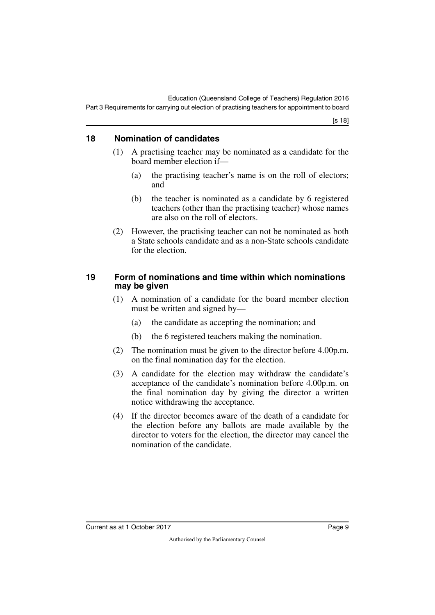## <span id="page-10-0"></span>**18 Nomination of candidates**

- <span id="page-10-1"></span>(1) A practising teacher may be nominated as a candidate for the board member election if—
	- (a) the practising teacher's name is on the roll of electors; and
	- (b) the teacher is nominated as a candidate by 6 registered teachers (other than the practising teacher) whose names are also on the roll of electors.
- (2) However, the practising teacher can not be nominated as both a State schools candidate and as a non-State schools candidate for the election.

#### <span id="page-10-2"></span>**19 Form of nominations and time within which nominations may be given**

- <span id="page-10-3"></span>(1) A nomination of a candidate for the board member election must be written and signed by—
	- (a) the candidate as accepting the nomination; and
	- (b) the 6 registered teachers making the nomination.
- (2) The nomination must be given to the director before 4.00p.m. on the final nomination day for the election.
- (3) A candidate for the election may withdraw the candidate's acceptance of the candidate's nomination before 4.00p.m. on the final nomination day by giving the director a written notice withdrawing the acceptance.
- (4) If the director becomes aware of the death of a candidate for the election before any ballots are made available by the director to voters for the election, the director may cancel the nomination of the candidate.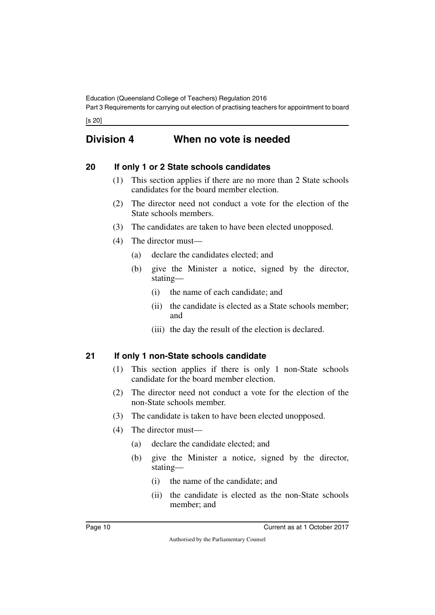[s 20]

# <span id="page-11-0"></span>**Division 4 When no vote is needed**

### <span id="page-11-2"></span>**20 If only 1 or 2 State schools candidates**

- <span id="page-11-3"></span><span id="page-11-1"></span>(1) This section applies if there are no more than 2 State schools candidates for the board member election.
- (2) The director need not conduct a vote for the election of the State schools members.
- (3) The candidates are taken to have been elected unopposed.
- (4) The director must—
	- (a) declare the candidates elected; and
	- (b) give the Minister a notice, signed by the director, stating—
		- (i) the name of each candidate; and
		- (ii) the candidate is elected as a State schools member; and
		- (iii) the day the result of the election is declared.

### <span id="page-11-4"></span>**21 If only 1 non-State schools candidate**

- <span id="page-11-5"></span>(1) This section applies if there is only 1 non-State schools candidate for the board member election.
- (2) The director need not conduct a vote for the election of the non-State schools member.
- (3) The candidate is taken to have been elected unopposed.
- (4) The director must—
	- (a) declare the candidate elected; and
	- (b) give the Minister a notice, signed by the director, stating—
		- (i) the name of the candidate; and
		- (ii) the candidate is elected as the non-State schools member; and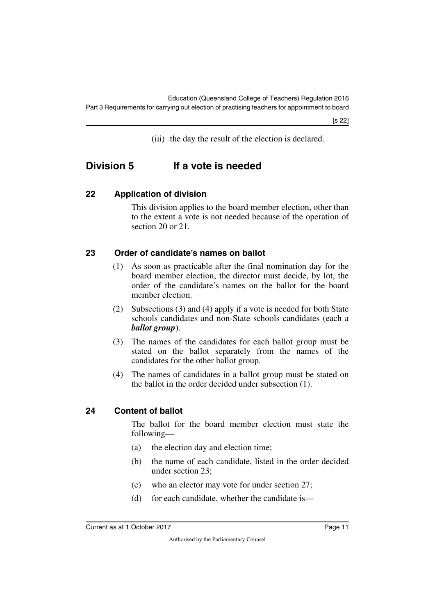<span id="page-12-1"></span>(iii) the day the result of the election is declared.

# <span id="page-12-0"></span>**Division 5 If a vote is needed**

### <span id="page-12-2"></span>**22 Application of division**

<span id="page-12-3"></span>This division applies to the board member election, other than to the extent a vote is not needed because of the operation of section 20 or 21.

### <span id="page-12-4"></span>**23 Order of candidate's names on ballot**

- <span id="page-12-5"></span>(1) As soon as practicable after the final nomination day for the board member election, the director must decide, by lot, the order of the candidate's names on the ballot for the board member election.
- (2) Subsections (3) and (4) apply if a vote is needed for both State schools candidates and non-State schools candidates (each a *ballot group*).
- (3) The names of the candidates for each ballot group must be stated on the ballot separately from the names of the candidates for the other ballot group.
- (4) The names of candidates in a ballot group must be stated on the ballot in the order decided under subsection (1).

# <span id="page-12-6"></span>**24 Content of ballot**

<span id="page-12-7"></span>The ballot for the board member election must state the following—

- (a) the election day and election time;
- (b) the name of each candidate, listed in the order decided under section 23;
- (c) who an elector may vote for under section 27;
- (d) for each candidate, whether the candidate is—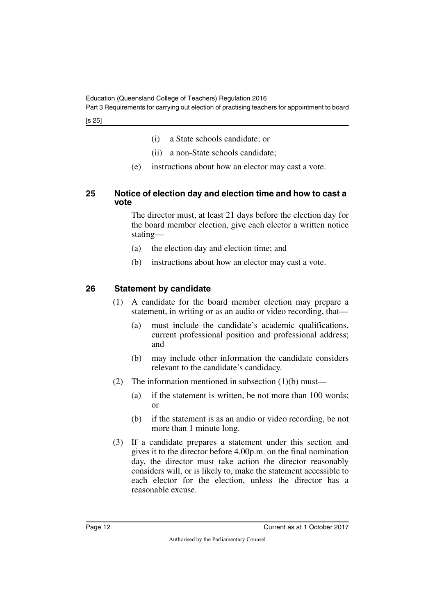Part 3 Requirements for carrying out election of practising teachers for appointment to board

[s 25]

- (i) a State schools candidate; or
- (ii) a non-State schools candidate;
- <span id="page-13-1"></span>(e) instructions about how an elector may cast a vote.

#### <span id="page-13-0"></span>**25 Notice of election day and election time and how to cast a vote**

The director must, at least 21 days before the election day for the board member election, give each elector a written notice stating—

- (a) the election day and election time; and
- (b) instructions about how an elector may cast a vote.

# <span id="page-13-2"></span>**26 Statement by candidate**

- <span id="page-13-3"></span>(1) A candidate for the board member election may prepare a statement, in writing or as an audio or video recording, that—
	- (a) must include the candidate's academic qualifications, current professional position and professional address; and
	- (b) may include other information the candidate considers relevant to the candidate's candidacy.
- (2) The information mentioned in subsection  $(1)(b)$  must—
	- (a) if the statement is written, be not more than 100 words; or
	- (b) if the statement is as an audio or video recording, be not more than 1 minute long.
- (3) If a candidate prepares a statement under this section and gives it to the director before 4.00p.m. on the final nomination day, the director must take action the director reasonably considers will, or is likely to, make the statement accessible to each elector for the election, unless the director has a reasonable excuse.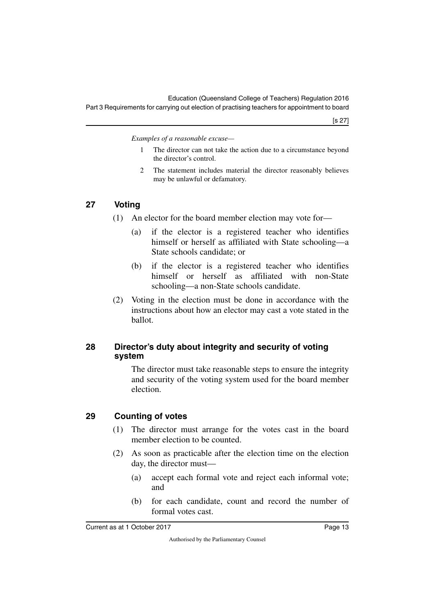*Examples of a reasonable excuse—*

- 1 The director can not take the action due to a circumstance beyond the director's control.
- 2 The statement includes material the director reasonably believes may be unlawful or defamatory.

### <span id="page-14-0"></span>**27 Voting**

- <span id="page-14-1"></span>(1) An elector for the board member election may vote for—
	- (a) if the elector is a registered teacher who identifies himself or herself as affiliated with State schooling—a State schools candidate; or
	- (b) if the elector is a registered teacher who identifies himself or herself as affiliated with non-State schooling—a non-State schools candidate.
- (2) Voting in the election must be done in accordance with the instructions about how an elector may cast a vote stated in the ballot.

### <span id="page-14-3"></span><span id="page-14-2"></span>**28 Director's duty about integrity and security of voting system**

The director must take reasonable steps to ensure the integrity and security of the voting system used for the board member election.

### <span id="page-14-4"></span>**29 Counting of votes**

- <span id="page-14-5"></span>(1) The director must arrange for the votes cast in the board member election to be counted.
- (2) As soon as practicable after the election time on the election day, the director must—
	- (a) accept each formal vote and reject each informal vote; and
	- (b) for each candidate, count and record the number of formal votes cast.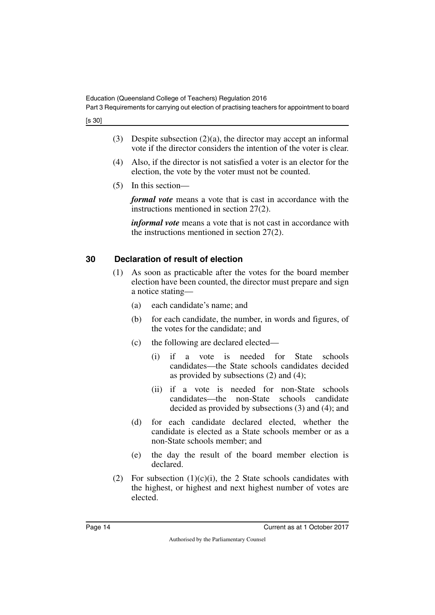[s 30]

- (3) Despite subsection (2)(a), the director may accept an informal vote if the director considers the intention of the voter is clear.
- (4) Also, if the director is not satisfied a voter is an elector for the election, the vote by the voter must not be counted.
- (5) In this section—

*formal vote* means a vote that is cast in accordance with the instructions mentioned in section 27(2).

*informal vote* means a vote that is not cast in accordance with the instructions mentioned in section 27(2).

# <span id="page-15-0"></span>**30 Declaration of result of election**

- <span id="page-15-1"></span>(1) As soon as practicable after the votes for the board member election have been counted, the director must prepare and sign a notice stating—
	- (a) each candidate's name; and
	- (b) for each candidate, the number, in words and figures, of the votes for the candidate; and
	- (c) the following are declared elected—
		- (i) if a vote is needed for State schools candidates—the State schools candidates decided as provided by subsections (2) and (4);
		- (ii) if a vote is needed for non-State schools candidates—the non-State schools candidate decided as provided by subsections (3) and (4); and
	- (d) for each candidate declared elected, whether the candidate is elected as a State schools member or as a non-State schools member; and
	- (e) the day the result of the board member election is declared.
- (2) For subsection  $(1)(c)(i)$ , the 2 State schools candidates with the highest, or highest and next highest number of votes are elected.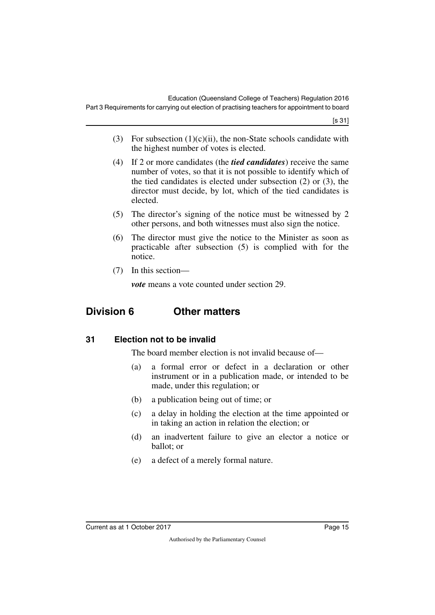[s 31]

- (3) For subsection  $(1)(c)(ii)$ , the non-State schools candidate with the highest number of votes is elected.
- (4) If 2 or more candidates (the *tied candidates*) receive the same number of votes, so that it is not possible to identify which of the tied candidates is elected under subsection (2) or (3), the director must decide, by lot, which of the tied candidates is elected.
- (5) The director's signing of the notice must be witnessed by 2 other persons, and both witnesses must also sign the notice.
- (6) The director must give the notice to the Minister as soon as practicable after subsection (5) is complied with for the notice.
- (7) In this section—

<span id="page-16-1"></span>*vote* means a vote counted under section 29.

# <span id="page-16-0"></span>**Division 6 Other matters**

### <span id="page-16-2"></span>**31 Election not to be invalid**

<span id="page-16-3"></span>The board member election is not invalid because of—

- (a) a formal error or defect in a declaration or other instrument or in a publication made, or intended to be made, under this regulation; or
- (b) a publication being out of time; or
- (c) a delay in holding the election at the time appointed or in taking an action in relation the election; or
- (d) an inadvertent failure to give an elector a notice or ballot; or
- (e) a defect of a merely formal nature.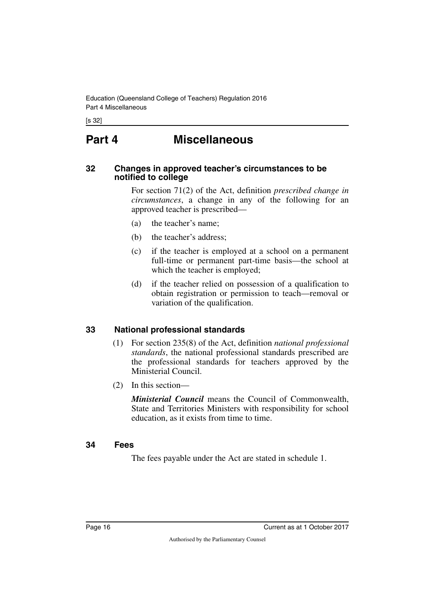<span id="page-17-0"></span>[s 32]

# **Part 4 Miscellaneous**

#### <span id="page-17-3"></span><span id="page-17-2"></span>**32 Changes in approved teacher's circumstances to be notified to college**

<span id="page-17-1"></span>For section 71(2) of the Act, definition *prescribed change in circumstances*, a change in any of the following for an approved teacher is prescribed—

- (a) the teacher's name;
- (b) the teacher's address;
- (c) if the teacher is employed at a school on a permanent full-time or permanent part-time basis—the school at which the teacher is employed;
- (d) if the teacher relied on possession of a qualification to obtain registration or permission to teach—removal or variation of the qualification.

#### <span id="page-17-4"></span>**33 National professional standards**

- <span id="page-17-5"></span>(1) For section 235(8) of the Act, definition *national professional standards*, the national professional standards prescribed are the professional standards for teachers approved by the Ministerial Council.
- (2) In this section—

*Ministerial Council* means the Council of Commonwealth, State and Territories Ministers with responsibility for school education, as it exists from time to time.

#### <span id="page-17-6"></span>**34 Fees**

<span id="page-17-7"></span>The fees payable under the Act are stated in schedule 1.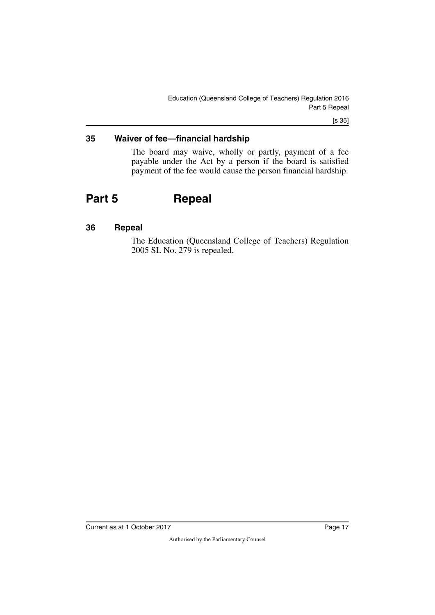[s 35]

#### <span id="page-18-0"></span>**35 Waiver of fee—financial hardship**

<span id="page-18-3"></span><span id="page-18-1"></span>The board may waive, wholly or partly, payment of a fee payable under the Act by a person if the board is satisfied payment of the fee would cause the person financial hardship.

# <span id="page-18-2"></span>**Part 5 Repeal**

#### <span id="page-18-4"></span>**36 Repeal**

<span id="page-18-5"></span>The Education (Queensland College of Teachers) Regulation 2005 SL No. 279 is repealed.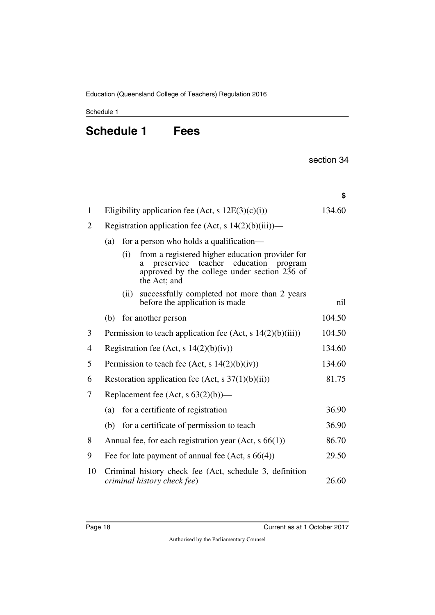<span id="page-19-1"></span><span id="page-19-0"></span>Schedule 1

# **Schedule 1 Fees**

section 34

|                |                                                         |      |                                                                                                                                                                       | \$     |
|----------------|---------------------------------------------------------|------|-----------------------------------------------------------------------------------------------------------------------------------------------------------------------|--------|
| $\mathbf{1}$   |                                                         |      | Eligibility application fee (Act, s $12E(3)(c)(i)$ )                                                                                                                  | 134.60 |
| $\overline{2}$ | Registration application fee (Act, s $14(2)(b)(iii)$ )— |      |                                                                                                                                                                       |        |
|                | (a)                                                     |      | for a person who holds a qualification-                                                                                                                               |        |
|                |                                                         | (i)  | from a registered higher education provider for<br>education<br>preservice<br>teacher<br>program<br>a<br>approved by the college under section 236 of<br>the Act; and |        |
|                |                                                         | (ii) | successfully completed not more than 2 years<br>before the application is made                                                                                        | nil    |
|                | (b)                                                     |      | for another person                                                                                                                                                    | 104.50 |
| 3              |                                                         |      | Permission to teach application fee (Act, s $14(2)(b)(iii)$ )                                                                                                         | 104.50 |
| 4              |                                                         |      | Registration fee (Act, $s$ 14(2)(b)(iv))                                                                                                                              | 134.60 |
| 5              |                                                         |      | Permission to teach fee (Act, s $14(2)(b)(iv)$ )                                                                                                                      | 134.60 |
| 6              |                                                         |      | Restoration application fee (Act, s $37(1)(b)(ii)$ )                                                                                                                  | 81.75  |
| 7              |                                                         |      | Replacement fee (Act, $s$ 63(2)(b))—                                                                                                                                  |        |
|                | (a)                                                     |      | for a certificate of registration                                                                                                                                     | 36.90  |
|                | (b)                                                     |      | for a certificate of permission to teach                                                                                                                              | 36.90  |
| 8              |                                                         |      | Annual fee, for each registration year $(Act, s 66(1))$                                                                                                               | 86.70  |
| 9              |                                                         |      | Fee for late payment of annual fee $(Act, s66(4))$                                                                                                                    | 29.50  |
| 10             |                                                         |      | Criminal history check fee (Act, schedule 3, definition<br>criminal history check fee)                                                                                | 26.60  |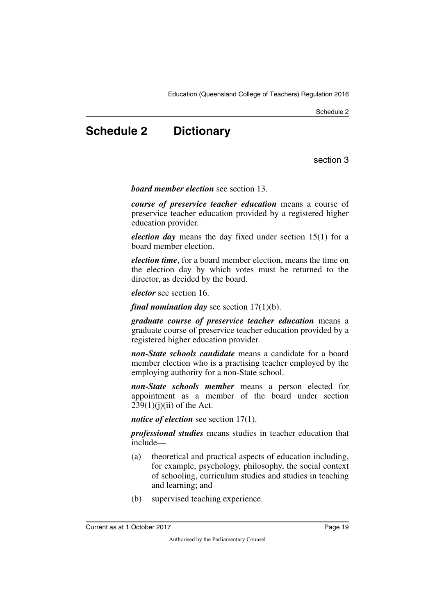Schedule 2

# <span id="page-20-0"></span>**Schedule 2 Dictionary**

section 3

<span id="page-20-1"></span>*board member election* see section 13.

*course of preservice teacher education* means a course of preservice teacher education provided by a registered higher education provider.

*election day* means the day fixed under section 15(1) for a board member election.

*election time*, for a board member election, means the time on the election day by which votes must be returned to the director, as decided by the board.

*elector* see section 16.

*final nomination day* see section 17(1)(b).

*graduate course of preservice teacher education* means a graduate course of preservice teacher education provided by a registered higher education provider.

*non-State schools candidate* means a candidate for a board member election who is a practising teacher employed by the employing authority for a non-State school.

*non-State schools member* means a person elected for appointment as a member of the board under section  $239(1)(i)(ii)$  of the Act.

*notice of election* see section 17(1).

*professional studies* means studies in teacher education that include—

- (a) theoretical and practical aspects of education including, for example, psychology, philosophy, the social context of schooling, curriculum studies and studies in teaching and learning; and
- (b) supervised teaching experience.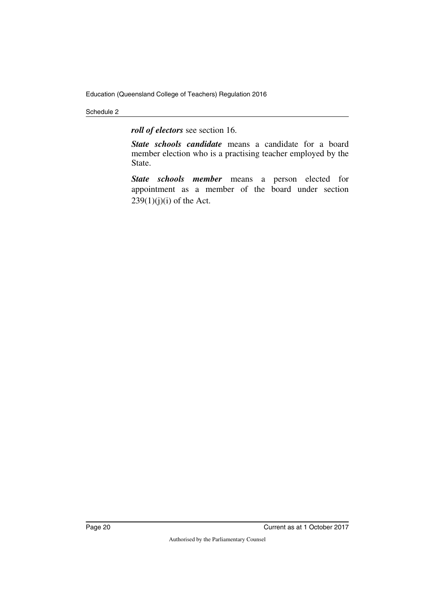#### Schedule 2

*roll of electors* see section 16.

*State schools candidate* means a candidate for a board member election who is a practising teacher employed by the State.

*State schools member* means a person elected for appointment as a member of the board under section  $239(1)(j)(i)$  of the Act.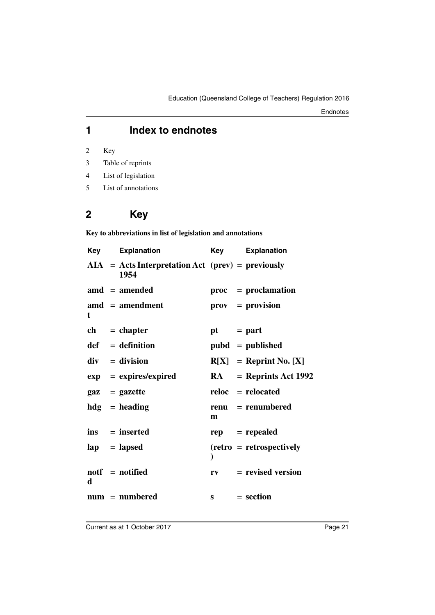# **1 Index to endnotes**

2 Key

- 3 Table of reprints
- 4 List of legislation
- 5 List of annotations

# **2 Key**

**Key to abbreviations in list of legislation and annotations**

| Key | <b>Explanation</b>                                          | Key          | <b>Explanation</b>              |
|-----|-------------------------------------------------------------|--------------|---------------------------------|
|     | $AIA = Acts Interpretation Act (prev) = previously$<br>1954 |              |                                 |
|     | $\text{and} = \text{amended}$                               |              | proc = proclamation             |
| t   | $\mathbf{a} \mathbf{m} \mathbf{d}$ = amendment              |              | $\mathbf{prox} = \mathbf{prox}$ |
|     | $ch = chapter$                                              | $pt = part$  |                                 |
|     | $def = definition$                                          |              | $pubd = published$              |
|     | $div = division$                                            |              | $R[X] =$ Reprint No. [X]        |
|     | $exp = expires/expired$                                     |              | $RA$ = Reprints Act 1992        |
|     | $\mathbf{gaz} = \mathbf{gazette}$                           |              | $reloc =$ relocated             |
|     | $hdg =$ heading                                             | m            | $renu = renumbered$             |
|     | $ins = inserted$                                            |              | $rep = rep\neq$                 |
|     | $\mathbf{lap} = \mathbf{lapsed}$                            |              | $(retro = retrospectively)$     |
| d   | $notf = notified$                                           | $r_{V}$      | $=$ revised version             |
|     | $num = numbered$                                            | $\mathbf{s}$ | $= section$                     |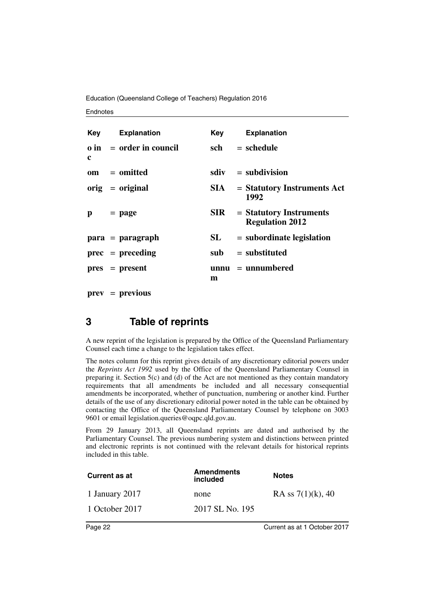Education (Queensland College of Teachers) Regulation 2016

#### **Endnotes**

|   | <b>Key</b> Explanation         | Key        | <b>Explanation</b>                                  |
|---|--------------------------------|------------|-----------------------------------------------------|
| c | $\theta$ in = order in council | sch        | $=$ schedule                                        |
|   | om = omitted                   |            | $sdiv = subdivision$                                |
|   | $orig = original$              | SIA –      | $=$ Statutory Instruments Act<br>1992               |
| p | $=$ page                       | <b>SIR</b> | $=$ Statutory Instruments<br><b>Regulation 2012</b> |
|   | $para = paragraph$             | SL         | $=$ subordinate legislation                         |
|   | $prec = preceding$             | sub        | $=$ substituted                                     |
|   | $pres = present$               | m          | $unnu = unnumbered$                                 |

**prev** = **previous**

# **3 Table of reprints**

A new reprint of the legislation is prepared by the Office of the Queensland Parliamentary Counsel each time a change to the legislation takes effect.

The notes column for this reprint gives details of any discretionary editorial powers under the *Reprints Act 1992* used by the Office of the Queensland Parliamentary Counsel in preparing it. Section  $5(c)$  and (d) of the Act are not mentioned as they contain mandatory requirements that all amendments be included and all necessary consequential amendments be incorporated, whether of punctuation, numbering or another kind. Further details of the use of any discretionary editorial power noted in the table can be obtained by contacting the Office of the Queensland Parliamentary Counsel by telephone on 3003 9601 or email legislation.queries@oqpc.qld.gov.au.

From 29 January 2013, all Queensland reprints are dated and authorised by the Parliamentary Counsel. The previous numbering system and distinctions between printed and electronic reprints is not continued with the relevant details for historical reprints included in this table.

| <b>Current as at</b> | <b>Amendments</b><br>included | <b>Notes</b>         |
|----------------------|-------------------------------|----------------------|
| 1 January 2017       | none                          | RA ss $7(1)(k)$ , 40 |
| 1 October 2017       | 2017 SL No. 195               |                      |